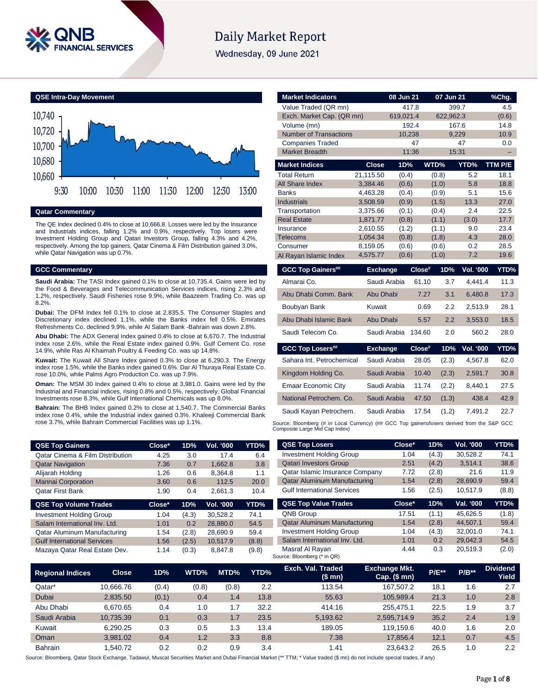

# **Daily Market Report**

Wednesday, 09 June 2021

**QSE Intra-Day Movement**



## **Qatar Commentary**

The QE Index declined 0.4% to close at 10,666.8. Losses were led by the Insurance and Industrials indices, falling 1.2% and 0.9%, respectively. Top losers were Investment Holding Group and Qatari Investors Group, falling 4.3% and 4.2%, respectively. Among the top gainers, Qatar Cinema & Film Distribution gained 3.0%, while Qatar Navigation was up 0.7%.

### **GCC Commentary**

**Saudi Arabia:** The TASI Index gained 0.1% to close at 10,735.4. Gains were led by the Food & Beverages and Telecommunication Services indices, rising 2.3% and 1.2%, respectively. Saudi Fisheries rose 9.9%, while Baazeem Trading Co. was up 8.2%.

**Dubai:** The DFM Index fell 0.1% to close at 2,835.5. The Consumer Staples and Discretionary index declined 1.1%, while the Banks index fell 0.5%. Emirates Refreshments Co. declined 9.9%, while Al Salam Bank -Bahrain was down 2.8%.

**Abu Dhabi:** The ADX General Index gained 0.4% to close at 6,670.7. The Industrial index rose 2.6%, while the Real Estate index gained 0.9%. Gulf Cement Co. rose 14.9%, while Ras Al Khaimah Poultry & Feeding Co. was up 14.8%.

**Kuwait:** The Kuwait All Share Index gained 0.3% to close at 6,290.3. The Energy index rose 1.5%, while the Banks index gained 0.6%. Dar Al Thuraya Real Estate Co. rose 10.0%, while Palms Agro Production Co. was up 7.9%.

**Oman:** The MSM 30 Index gained 0.4% to close at 3,981.0. Gains were led by the Industrial and Financial indices, rising 0.8% and 0.5%, respectively. Global Financial Investments rose 8.3%, while Gulf International Chemicals was up 8.0%.

**Bahrain:** The BHB Index gained 0.2% to close at 1,540.7. The Commercial Banks index rose 0.4%, while the Industrial index gained 0.3%. Khaleeji Commercial Bank rose 3.7%, while Bahrain Commercial Facilities was up 1.1%.

| <b>QSE Top Gainers</b>                      | Close* | 1D% | <b>Vol. '000</b> | YTD% |
|---------------------------------------------|--------|-----|------------------|------|
| <b>Qatar Cinema &amp; Film Distribution</b> | 4.25   | 3.0 | 17.4             | 6.4  |
| <b>Qatar Navigation</b>                     | 7.36   | 0.7 | 1.662.8          | 3.8  |
| Alijarah Holding                            | 1.26   | 0.6 | 8.364.8          | 1.1  |
| <b>Mannai Corporation</b>                   | 3.60   | 0.6 | 112.5            | 20.0 |
| <b>Qatar First Bank</b>                     | 1.90   | 0.4 | 2.661.3          | 10.4 |

| <b>QSE Top Volume Trades</b>       | Close* | 1D%   | Vol. '000 | YTD%  |
|------------------------------------|--------|-------|-----------|-------|
| <b>Investment Holding Group</b>    | 1.04   | (4.3) | 30,528.2  | 74.1  |
| Salam International Inv. Ltd.      | 1.01   | 0.2   | 28.880.0  | 54.5  |
| Qatar Aluminum Manufacturing       | 1.54   | (2.8) | 28,690.9  | 59.4  |
| <b>Gulf International Services</b> | 1.56   | (2.5) | 10.517.9  | (8.8) |
| Mazaya Qatar Real Estate Dev.      | 1.14   | (0.3) | 8,847.8   | (9.8) |

| <b>Market Indicators</b>      |                      | 08 Jun 21      |        | 07 Jun 21      |                  | %Chg.        |
|-------------------------------|----------------------|----------------|--------|----------------|------------------|--------------|
| Value Traded (QR mn)          |                      |                | 417.8  |                | 399.7            | 4.5          |
| Exch. Market Cap. (QR mn)     |                      | 619,021.4      |        | 622,962.3      |                  | (0.6)        |
| Volume (mn)                   |                      |                | 192.4  |                | 167.6            | 14.8         |
| <b>Number of Transactions</b> |                      |                | 10.238 |                | 9,229            | 10.9         |
| <b>Companies Traded</b>       |                      |                | 47     |                | 47               | 0.0          |
| <b>Market Breadth</b>         |                      |                | 11:36  |                | 15:31            |              |
| <b>Market Indices</b>         | <b>Close</b>         | 1D%            |        | WTD%           | YTD%             | TTM P/E      |
| <b>Total Return</b>           | 21,115.50            | (0.4)          |        | (0.8)          | 5.2              | 18.1         |
| <b>All Share Index</b>        | 3.384.46             | (0.6)          |        | (1.0)          | 5.8              | 18.8         |
| <b>Banks</b>                  | 4,463.28             | (0.4)          |        | (0.9)          | 5.1              | 15.6         |
| <b>Industrials</b>            | 3,508.59             | (0.9)          |        | (1.5)          | 13.3             | 27.0         |
| Transportation                | 3,375.66             | (0.1)          |        | (0.4)          | 2.4              | 22.5         |
| <b>Real Estate</b>            | 1,871.77             | (0.8)          |        | (1.1)          | (3.0)            | 17.7         |
| Insurance                     | 2,610.55             | (1.2)          |        | (1.1)          | 9.0              | 23.4         |
| Telecoms                      | 1,054.34             | (0.8)          |        | (1.8)          | 4.3              | 28.0         |
| Consumer                      | 8,159.05<br>4,575.77 | (0.6)<br>(0.6) |        | (0.6)<br>(1.0) | 0.2<br>7.2       | 28.5<br>19.6 |
| Al Rayan Islamic Index        |                      |                |        |                |                  |              |
| <b>GCC Top Gainers##</b>      | <b>Exchange</b>      |                | Close# | 1D%            | <b>Vol. '000</b> | YTD%         |
| Almarai Co.                   | Saudi Arabia         |                | 61.10  | 3.7            | 4,441.4          | 11.3         |
| Abu Dhabi Comm. Bank          | Abu Dhabi            |                | 7.27   | 3.1            | 6,480.8          | 17.3         |
| Boubyan Bank                  | Kuwait               |                | 0.69   | 2.2            | 2,513.9          | 28.1         |
| Abu Dhabi Islamic Bank        | Abu Dhabi            |                | 5.57   | 2.2            | 3,553.0          | 18.5         |
| Saudi Telecom Co.             |                      | Saudi Arabia   | 134.60 | 2.0            | 560.2            | 28.0         |
| <b>GCC Top Losers##</b>       | <b>Exchange</b>      |                | Close# | 1D%            | <b>Vol. '000</b> | YTD%         |
| Sahara Int. Petrochemical     |                      | Saudi Arabia   | 28.05  | (2.3)          | 4,567.8          | 62.0         |
| Kingdom Holding Co.           | Saudi Arabia         |                | 10.40  | (2.3)          | 2,591.7          | 30.8         |
| <b>Emaar Economic City</b>    |                      | Saudi Arabia   | 11.74  | (2.2)          | 8,440.1          | 27.5         |
| National Petrochem. Co.       |                      | Saudi Arabia   | 47.50  | (1.3)          | 438.4            | 42.9         |
| Saudi Kayan Petrochem.        | Saudi Arabia         |                | 17.54  | (1.2)          | 7,491.2          | 22.7         |
|                               |                      |                |        |                |                  |              |

Source: Bloomberg (# in Local Currency) (## GCC Top gainers/losers derived from the S&P GCC Composite Large Mid Cap Index)

| <b>QSE Top Losers</b>               | Close* | 1D%   | <b>Vol. '000</b> | YTD%  |
|-------------------------------------|--------|-------|------------------|-------|
| <b>Investment Holding Group</b>     | 1.04   | (4.3) | 30,528.2         | 74.1  |
| <b>Qatari Investors Group</b>       | 2.51   | (4.2) | 3.514.1          | 38.6  |
| Qatar Islamic Insurance Company     | 7.72   | (2.8) | 21.6             | 11.9  |
| <b>Qatar Aluminum Manufacturing</b> | 1.54   | (2.8) | 28,690.9         | 59.4  |
| <b>Gulf International Services</b>  | 1.56   | (2.5) | 10.517.9         | (8.8) |
|                                     |        |       |                  |       |
| <b>QSE Top Value Trades</b>         | Close* | 1D%   | Val. '000        | YTD%  |
| <b>QNB Group</b>                    | 17.51  | (1.1) | 45.626.5         | (1.8) |
| <b>Qatar Aluminum Manufacturing</b> | 1.54   | (2.8) | 44.507.1         | 59.4  |
| <b>Investment Holding Group</b>     | 1.04   | (4.3) | 32.001.0         | 74.1  |
| Salam International Inv. Ltd.       | 1.01   | 0.2   | 29.042.3         | 54.5  |

| <b>Regional Indices</b> | <b>Close</b> | 1D%   | WTD%  | MTD%  | YTD% | Exch. Val. Traded<br>(\$ mn) | <b>Exchange Mkt.</b><br>$Cap.$ (\$ mn) | <b>P/E**</b> | $P/B**$ | <b>Dividend</b><br>Yield |
|-------------------------|--------------|-------|-------|-------|------|------------------------------|----------------------------------------|--------------|---------|--------------------------|
| Qatar*                  | 10.666.76    | (0.4) | (0.8) | (0.8) | 2.2  | 113.54                       | 167.507.2                              | 18.1         | 1.6     | 2.7                      |
| <b>Dubai</b>            | 2,835.50     | (0.1) | 0.4   | 1.4   | 13.8 | 55.63                        | 105.989.4                              | 21.3         | 1.0     | 2.8                      |
| Abu Dhabi               | 6.670.65     | 0.4   | 1.0   | 1.7   | 32.2 | 414.16                       | 255.475.1                              | 22.5         | 1.9     | 3.7                      |
| Saudi Arabia            | 10,735.39    | 0.1   | 0.3   | 1.7   | 23.5 | 5.193.62                     | 2,595,714.9                            | 35.2         | 2.4     | 1.9                      |
| Kuwait                  | 6.290.25     | 0.3   | 0.5   | 1.3   | 13.4 | 189.05                       | 119.159.6                              | 40.0         | 1.6     | 2.0                      |
| Oman                    | 3.981.02     | 0.4   | 1.2   | 3.3   | 8.8  | 7.38                         | 17.856.4                               | 12.1         | 0.7     | 4.5                      |
| <b>Bahrain</b>          | .540.72      | 0.2   | 0.2   | 0.9   | 3.4  | 1.41                         | 23.643.2                               | 26.5         | 1.0     | 2.2                      |

Source: Bloomberg, Qatar Stock Exchange, Tadawul, Muscat Securities Market and Dubai Financial Market (\*\* TTM; \* Value traded (\$ mn) do not include special trades, if any)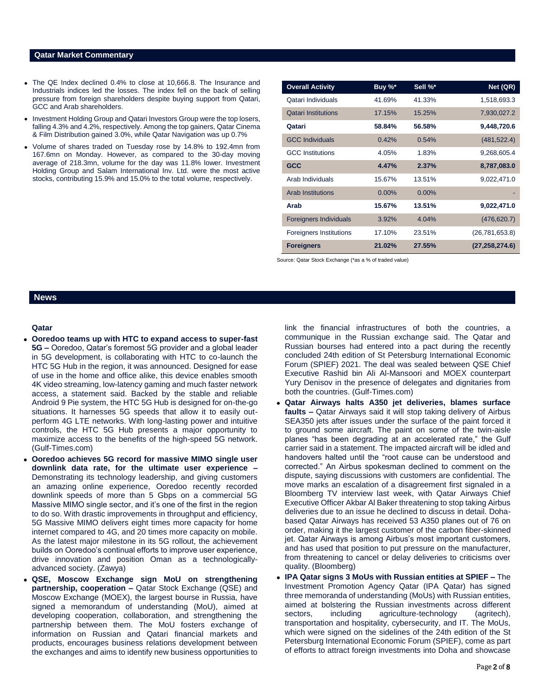## **Qatar Market Commentary**

- The QE Index declined 0.4% to close at 10,666.8. The Insurance and Industrials indices led the losses. The index fell on the back of selling pressure from foreign shareholders despite buying support from Qatari, GCC and Arab shareholders.
- Investment Holding Group and Qatari Investors Group were the top losers, falling 4.3% and 4.2%, respectively. Among the top gainers, Qatar Cinema & Film Distribution gained 3.0%, while Qatar Navigation was up 0.7%
- Volume of shares traded on Tuesday rose by 14.8% to 192.4mn from 167.6mn on Monday. However, as compared to the 30-day moving average of 218.3mn, volume for the day was 11.8% lower. Investment Holding Group and Salam International Inv. Ltd. were the most active stocks, contributing 15.9% and 15.0% to the total volume, respectively.

| <b>Overall Activity</b>        | Buy %*   | Sell %*  | Net (QR)         |
|--------------------------------|----------|----------|------------------|
| Qatari Individuals             | 41.69%   | 41.33%   | 1,518,693.3      |
| <b>Qatari Institutions</b>     | 17.15%   | 15.25%   | 7,930,027.2      |
| Qatari                         | 58.84%   | 56.58%   | 9,448,720.6      |
| <b>GCC Individuals</b>         | 0.42%    | 0.54%    | (481, 522.4)     |
| <b>GCC</b> Institutions        | 4.05%    | 1.83%    | 9,268,605.4      |
| <b>GCC</b>                     | 4.47%    | 2.37%    | 8,787,083.0      |
| Arab Individuals               | 15.67%   | 13.51%   | 9,022,471.0      |
| <b>Arab Institutions</b>       | $0.00\%$ | $0.00\%$ |                  |
| Arab                           | 15.67%   | 13.51%   | 9,022,471.0      |
| <b>Foreigners Individuals</b>  | 3.92%    | 4.04%    | (476, 620.7)     |
| <b>Foreigners Institutions</b> | 17.10%   | 23.51%   | (26,781,653.8)   |
| <b>Foreigners</b>              | 21.02%   | 27.55%   | (27, 258, 274.6) |

Source: Qatar Stock Exchange (\*as a % of traded value)

### **News**

## **Qatar**

- **Ooredoo teams up with HTC to expand access to super-fast 5G –** Ooredoo, Qatar's foremost 5G provider and a global leader in 5G development, is collaborating with HTC to co-launch the HTC 5G Hub in the region, it was announced. Designed for ease of use in the home and office alike, this device enables smooth 4K video streaming, low-latency gaming and much faster network access, a statement said. Backed by the stable and reliable Android 9 Pie system, the HTC 5G Hub is designed for on-the-go situations. It harnesses 5G speeds that allow it to easily outperform 4G LTE networks. With long-lasting power and intuitive controls, the HTC 5G Hub presents a major opportunity to maximize access to the benefits of the high-speed 5G network. (Gulf-Times.com)
- **Ooredoo achieves 5G record for massive MIMO single user downlink data rate, for the ultimate user experience –** Demonstrating its technology leadership, and giving customers an amazing online experience, Ooredoo recently recorded downlink speeds of more than 5 Gbps on a commercial 5G Massive MIMO single sector, and it's one of the first in the region to do so. With drastic improvements in throughput and efficiency, 5G Massive MIMO delivers eight times more capacity for home internet compared to 4G, and 20 times more capacity on mobile. As the latest major milestone in its 5G rollout, the achievement builds on Ooredoo's continual efforts to improve user experience, drive innovation and position Oman as a technologicallyadvanced society. (Zawya)
- **QSE, Moscow Exchange sign MoU on strengthening partnership, cooperation –** Qatar Stock Exchange (QSE) and Moscow Exchange (MOEX), the largest bourse in Russia, have signed a memorandum of understanding (MoU), aimed at developing cooperation, collaboration, and strengthening the partnership between them. The MoU fosters exchange of information on Russian and Qatari financial markets and products, encourages business relations development between the exchanges and aims to identify new business opportunities to

link the financial infrastructures of both the countries, a communique in the Russian exchange said. The Qatar and Russian bourses had entered into a pact during the recently concluded 24th edition of St Petersburg International Economic Forum (SPIEF) 2021. The deal was sealed between QSE Chief Executive Rashid bin Ali Al-Mansoori and MOEX counterpart Yury Denisov in the presence of delegates and dignitaries from both the countries. (Gulf-Times.com)

- **Qatar Airways halts A350 jet deliveries, blames surface faults –** Qatar Airways said it will stop taking delivery of Airbus SEA350 jets after issues under the surface of the paint forced it to ground some aircraft. The paint on some of the twin-aisle planes "has been degrading at an accelerated rate," the Gulf carrier said in a statement. The impacted aircraft will be idled and handovers halted until the "root cause can be understood and corrected." An Airbus spokesman declined to comment on the dispute, saying discussions with customers are confidential. The move marks an escalation of a disagreement first signaled in a Bloomberg TV interview last week, with Qatar Airways Chief Executive Officer Akbar Al Baker threatening to stop taking Airbus deliveries due to an issue he declined to discuss in detail. Dohabased Qatar Airways has received 53 A350 planes out of 76 on order, making it the largest customer of the carbon fiber-skinned jet. Qatar Airways is among Airbus's most important customers, and has used that position to put pressure on the manufacturer, from threatening to cancel or delay deliveries to criticisms over quality. (Bloomberg)
- **IPA Qatar signs 3 MoUs with Russian entities at SPIEF –** The Investment Promotion Agency Qatar (IPA Qatar) has signed three memoranda of understanding (MoUs) with Russian entities, aimed at bolstering the Russian investments across different sectors, including agriculture-technology (agritech), transportation and hospitality, cybersecurity, and IT. The MoUs, which were signed on the sidelines of the 24th edition of the St Petersburg International Economic Forum (SPIEF), come as part of efforts to attract foreign investments into Doha and showcase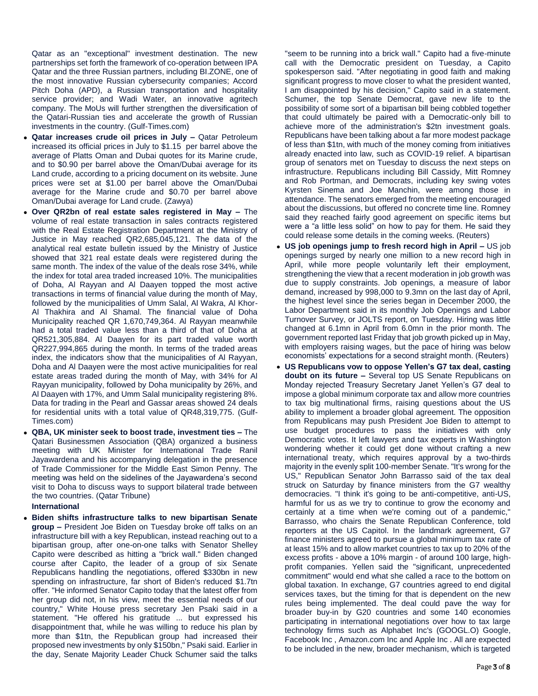Qatar as an "exceptional" investment destination. The new partnerships set forth the framework of co-operation between IPA Qatar and the three Russian partners, including BI.ZONE, one of the most innovative Russian cybersecurity companies; Accord Pitch Doha (APD), a Russian transportation and hospitality service provider; and Wadi Water, an innovative agritech company. The MoUs will further strengthen the diversification of the Qatari-Russian ties and accelerate the growth of Russian investments in the country. (Gulf-Times.com)

- **Qatar increases crude oil prices in July –** Qatar Petroleum increased its official prices in July to \$1.15 per barrel above the average of Platts Oman and Dubai quotes for its Marine crude, and to \$0.90 per barrel above the Oman/Dubai average for its Land crude, according to a pricing document on its website. June prices were set at \$1.00 per barrel above the Oman/Dubai average for the Marine crude and \$0.70 per barrel above Oman/Dubai average for Land crude. (Zawya)
- **Over QR2bn of real estate sales registered in May –** The volume of real estate transaction in sales contracts registered with the Real Estate Registration Department at the Ministry of Justice in May reached QR2,685,045,121. The data of the analytical real estate bulletin issued by the Ministry of Justice showed that 321 real estate deals were registered during the same month. The index of the value of the deals rose 34%, while the index for total area traded increased 10%. The municipalities of Doha, Al Rayyan and Al Daayen topped the most active transactions in terms of financial value during the month of May, followed by the municipalities of Umm Salal, Al Wakra, Al Khor-Al Thakhira and Al Shamal. The financial value of Doha Municipality reached QR 1,670,749,364. Al Rayyan meanwhile had a total traded value less than a third of that of Doha at QR521,305,884. Al Daayen for its part traded value worth QR227,994,865 during the month. In terms of the traded areas index, the indicators show that the municipalities of Al Rayyan, Doha and Al Daayen were the most active municipalities for real estate areas traded during the month of May, with 34% for Al Rayyan municipality, followed by Doha municipality by 26%, and Al Daayen with 17%, and Umm Salal municipality registering 8%. Data for trading in the Pearl and Gassar areas showed 24 deals for residential units with a total value of QR48,319,775. (Gulf-Times.com)
- **QBA, UK minister seek to boost trade, investment ties –** The Qatari Businessmen Association (QBA) organized a business meeting with UK Minister for International Trade Ranil Jayawardena and his accompanying delegation in the presence of Trade Commissioner for the Middle East Simon Penny. The meeting was held on the sidelines of the Jayawardena's second visit to Doha to discuss ways to support bilateral trade between the two countries. (Qatar Tribune)

## **International**

 **Biden shifts infrastructure talks to new bipartisan Senate group –** President Joe Biden on Tuesday broke off talks on an infrastructure bill with a key Republican, instead reaching out to a bipartisan group, after one-on-one talks with Senator Shelley Capito were described as hitting a "brick wall." Biden changed course after Capito, the leader of a group of six Senate Republicans handling the negotiations, offered \$330bn in new spending on infrastructure, far short of Biden's reduced \$1.7tn offer. "He informed Senator Capito today that the latest offer from her group did not, in his view, meet the essential needs of our country," White House press secretary Jen Psaki said in a statement. "He offered his gratitude ... but expressed his disappointment that, while he was willing to reduce his plan by more than \$1tn, the Republican group had increased their proposed new investments by only \$150bn," Psaki said. Earlier in the day, Senate Majority Leader Chuck Schumer said the talks

"seem to be running into a brick wall." Capito had a five-minute call with the Democratic president on Tuesday, a Capito spokesperson said. "After negotiating in good faith and making significant progress to move closer to what the president wanted, I am disappointed by his decision," Capito said in a statement. Schumer, the top Senate Democrat, gave new life to the possibility of some sort of a bipartisan bill being cobbled together that could ultimately be paired with a Democratic-only bill to achieve more of the administration's \$2tn investment goals. Republicans have been talking about a far more modest package of less than \$1tn, with much of the money coming from initiatives already enacted into law, such as COVID-19 relief. A bipartisan group of senators met on Tuesday to discuss the next steps on infrastructure. Republicans including Bill Cassidy, Mitt Romney and Rob Portman, and Democrats, including key swing votes Kyrsten Sinema and Joe Manchin, were among those in attendance. The senators emerged from the meeting encouraged about the discussions, but offered no concrete time line. Romney said they reached fairly good agreement on specific items but were a "a little less solid" on how to pay for them. He said they could release some details in the coming weeks. (Reuters)

- **US job openings jump to fresh record high in April –** US job openings surged by nearly one million to a new record high in April, while more people voluntarily left their employment, strengthening the view that a recent moderation in job growth was due to supply constraints. Job openings, a measure of labor demand, increased by 998,000 to 9.3mn on the last day of April, the highest level since the series began in December 2000, the Labor Department said in its monthly Job Openings and Labor Turnover Survey, or JOLTS report, on Tuesday. Hiring was little changed at 6.1mn in April from 6.0mn in the prior month. The government reported last Friday that job growth picked up in May, with employers raising wages, but the pace of hiring was below economists' expectations for a second straight month. (Reuters)
- **US Republicans vow to oppose Yellen's G7 tax deal, casting doubt on its future –** Several top US Senate Republicans on Monday rejected Treasury Secretary Janet Yellen's G7 deal to impose a global minimum corporate tax and allow more countries to tax big multinational firms, raising questions about the US ability to implement a broader global agreement. The opposition from Republicans may push President Joe Biden to attempt to use budget procedures to pass the initiatives with only Democratic votes. It left lawyers and tax experts in Washington wondering whether it could get done without crafting a new international treaty, which requires approval by a two-thirds majority in the evenly split 100-member Senate. "It's wrong for the US," Republican Senator John Barrasso said of the tax deal struck on Saturday by finance ministers from the G7 wealthy democracies. "I think it's going to be anti-competitive, anti-US, harmful for us as we try to continue to grow the economy and certainly at a time when we're coming out of a pandemic," Barrasso, who chairs the Senate Republican Conference, told reporters at the US Capitol. In the landmark agreement, G7 finance ministers agreed to pursue a global minimum tax rate of at least 15% and to allow market countries to tax up to 20% of the excess profits - above a 10% margin - of around 100 large, highprofit companies. Yellen said the "significant, unprecedented commitment" would end what she called a race to the bottom on global taxation. In exchange, G7 countries agreed to end digital services taxes, but the timing for that is dependent on the new rules being implemented. The deal could pave the way for broader buy-in by G20 countries and some 140 economies participating in international negotiations over how to tax large technology firms such as Alphabet Inc's (GOOGL.O) Google, Facebook Inc , Amazon.com Inc and Apple Inc . All are expected to be included in the new, broader mechanism, which is targeted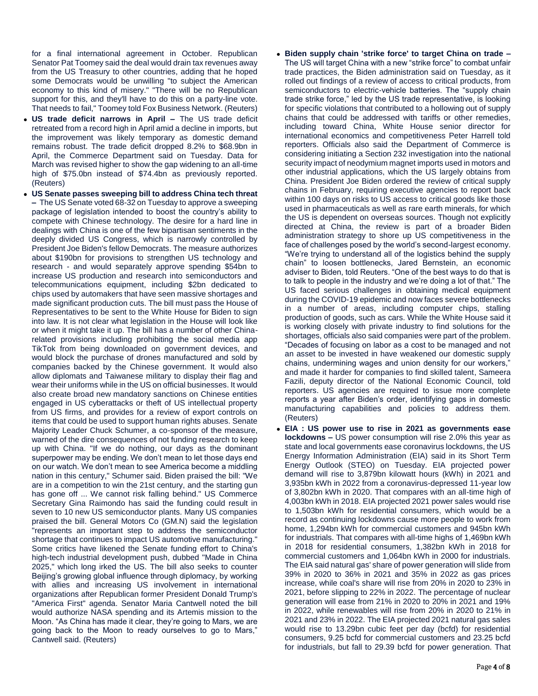for a final international agreement in October. Republican Senator Pat Toomey said the deal would drain tax revenues away from the US Treasury to other countries, adding that he hoped some Democrats would be unwilling "to subject the American economy to this kind of misery." "There will be no Republican support for this, and they'll have to do this on a party-line vote. That needs to fail," Toomey told Fox Business Network. (Reuters)

- **US trade deficit narrows in April –** The US trade deficit retreated from a record high in April amid a decline in imports, but the improvement was likely temporary as domestic demand remains robust. The trade deficit dropped 8.2% to \$68.9bn in April, the Commerce Department said on Tuesday. Data for March was revised higher to show the gap widening to an all-time high of \$75.0bn instead of \$74.4bn as previously reported. (Reuters)
- **US Senate passes sweeping bill to address China tech threat –** The US Senate voted 68-32 on Tuesday to approve a sweeping package of legislation intended to boost the country's ability to compete with Chinese technology. The desire for a hard line in dealings with China is one of the few bipartisan sentiments in the deeply divided US Congress, which is narrowly controlled by President Joe Biden's fellow Democrats. The measure authorizes about \$190bn for provisions to strengthen US technology and research - and would separately approve spending \$54bn to increase US production and research into semiconductors and telecommunications equipment, including \$2bn dedicated to chips used by automakers that have seen massive shortages and made significant production cuts. The bill must pass the House of Representatives to be sent to the White House for Biden to sign into law. It is not clear what legislation in the House will look like or when it might take it up. The bill has a number of other Chinarelated provisions including prohibiting the social media app TikTok from being downloaded on government devices, and would block the purchase of drones manufactured and sold by companies backed by the Chinese government. It would also allow diplomats and Taiwanese military to display their flag and wear their uniforms while in the US on official businesses. It would also create broad new mandatory sanctions on Chinese entities engaged in US cyberattacks or theft of US intellectual property from US firms, and provides for a review of export controls on items that could be used to support human rights abuses. Senate Majority Leader Chuck Schumer, a co-sponsor of the measure, warned of the dire consequences of not funding research to keep up with China. "If we do nothing, our days as the dominant superpower may be ending. We don't mean to let those days end on our watch. We don't mean to see America become a middling nation in this century," Schumer said. Biden praised the bill: "We are in a competition to win the 21st century, and the starting gun has gone off ... We cannot risk falling behind." US Commerce Secretary Gina Raimondo has said the funding could result in seven to 10 new US semiconductor plants. Many US companies praised the bill. General Motors Co (GM.N) said the legislation "represents an important step to address the semiconductor shortage that continues to impact US automotive manufacturing." Some critics have likened the Senate funding effort to China's high-tech industrial development push, dubbed "Made in China 2025," which long irked the US. The bill also seeks to counter Beijing's growing global influence through diplomacy, by working with allies and increasing US involvement in international organizations after Republican former President Donald Trump's "America First" agenda. Senator Maria Cantwell noted the bill would authorize NASA spending and its Artemis mission to the Moon. "As China has made it clear, they're going to Mars, we are going back to the Moon to ready ourselves to go to Mars," Cantwell said. (Reuters)
- **Biden supply chain 'strike force' to target China on trade –** The US will target China with a new "strike force" to combat unfair trade practices, the Biden administration said on Tuesday, as it rolled out findings of a review of access to critical products, from semiconductors to electric-vehicle batteries. The "supply chain trade strike force," led by the US trade representative, is looking for specific violations that contributed to a hollowing out of supply chains that could be addressed with tariffs or other remedies, including toward China, White House senior director for international economics and competitiveness Peter Harrell told reporters. Officials also said the Department of Commerce is considering initiating a Section 232 investigation into the national security impact of neodymium magnet imports used in motors and other industrial applications, which the US largely obtains from China. President Joe Biden ordered the review of critical supply chains in February, requiring executive agencies to report back within 100 days on risks to US access to critical goods like those used in pharmaceuticals as well as rare earth minerals, for which the US is dependent on overseas sources. Though not explicitly directed at China, the review is part of a broader Biden administration strategy to shore up US competitiveness in the face of challenges posed by the world's second-largest economy. "We're trying to understand all of the logistics behind the supply chain" to loosen bottlenecks, Jared Bernstein, an economic adviser to Biden, told Reuters. "One of the best ways to do that is to talk to people in the industry and we're doing a lot of that." The US faced serious challenges in obtaining medical equipment during the COVID-19 epidemic and now faces severe bottlenecks in a number of areas, including computer chips, stalling production of goods, such as cars. While the White House said it is working closely with private industry to find solutions for the shortages, officials also said companies were part of the problem. "Decades of focusing on labor as a cost to be managed and not an asset to be invested in have weakened our domestic supply chains, undermining wages and union density for our workers," and made it harder for companies to find skilled talent, Sameera Fazili, deputy director of the National Economic Council, told reporters. US agencies are required to issue more complete reports a year after Biden's order, identifying gaps in domestic manufacturing capabilities and policies to address them. (Reuters)
- **EIA : US power use to rise in 2021 as governments ease lockdowns –** US power consumption will rise 2.0% this year as state and local governments ease coronavirus lockdowns, the US Energy Information Administration (EIA) said in its Short Term Energy Outlook (STEO) on Tuesday. EIA projected power demand will rise to 3,879bn kilowatt hours (kWh) in 2021 and 3,935bn kWh in 2022 from a coronavirus-depressed 11-year low of 3,802bn kWh in 2020. That compares with an all-time high of 4,003bn kWh in 2018. EIA projected 2021 power sales would rise to 1,503bn kWh for residential consumers, which would be a record as continuing lockdowns cause more people to work from home, 1,294bn kWh for commercial customers and 945bn kWh for industrials. That compares with all-time highs of 1,469bn kWh in 2018 for residential consumers, 1,382bn kWh in 2018 for commercial customers and 1,064bn kWh in 2000 for industrials. The EIA said natural gas' share of power generation will slide from 39% in 2020 to 36% in 2021 and 35% in 2022 as gas prices increase, while coal's share will rise from 20% in 2020 to 23% in 2021, before slipping to 22% in 2022. The percentage of nuclear generation will ease from 21% in 2020 to 20% in 2021 and 19% in 2022, while renewables will rise from 20% in 2020 to 21% in 2021 and 23% in 2022. The EIA projected 2021 natural gas sales would rise to 13.29bn cubic feet per day (bcfd) for residential consumers, 9.25 bcfd for commercial customers and 23.25 bcfd for industrials, but fall to 29.39 bcfd for power generation. That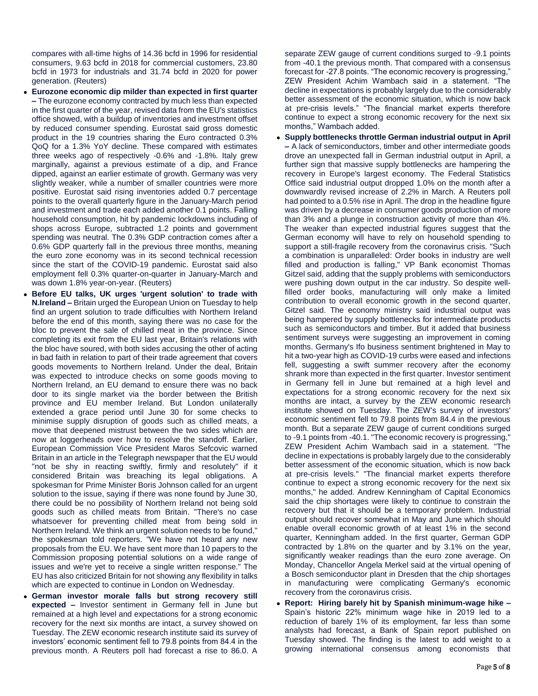compares with all-time highs of 14.36 bcfd in 1996 for residential consumers, 9.63 bcfd in 2018 for commercial customers, 23.80 bcfd in 1973 for industrials and 31.74 bcfd in 2020 for power generation. (Reuters)

- **Eurozone economic dip milder than expected in first quarter –** The eurozone economy contracted by much less than expected in the first quarter of the year, revised data from the EU's statistics office showed, with a buildup of inventories and investment offset by reduced consumer spending. Eurostat said gross domestic product in the 19 countries sharing the Euro contracted 0.3% QoQ for a 1.3% YoY decline. These compared with estimates three weeks ago of respectively -0.6% and -1.8%. Italy grew marginally, against a previous estimate of a dip, and France dipped, against an earlier estimate of growth. Germany was very slightly weaker, while a number of smaller countries were more positive. Eurostat said rising inventories added 0.7 percentage points to the overall quarterly figure in the January-March period and investment and trade each added another 0.1 points. Falling household consumption, hit by pandemic lockdowns including of shops across Europe, subtracted 1.2 points and government spending was neutral. The 0.3% GDP contraction comes after a 0.6% GDP quarterly fall in the previous three months, meaning the euro zone economy was in its second technical recession since the start of the COVID-19 pandemic. Eurostat said also employment fell 0.3% quarter-on-quarter in January-March and was down 1.8% year-on-year. (Reuters)
- **Before EU talks, UK urges 'urgent solution' to trade with N.Ireland –** Britain urged the European Union on Tuesday to help find an urgent solution to trade difficulties with Northern Ireland before the end of this month, saying there was no case for the bloc to prevent the sale of chilled meat in the province. Since completing its exit from the EU last year, Britain's relations with the bloc have soured, with both sides accusing the other of acting in bad faith in relation to part of their trade agreement that covers goods movements to Northern Ireland. Under the deal, Britain was expected to introduce checks on some goods moving to Northern Ireland, an EU demand to ensure there was no back door to its single market via the border between the British province and EU member Ireland. But London unilaterally extended a grace period until June 30 for some checks to minimise supply disruption of goods such as chilled meats, a move that deepened mistrust between the two sides which are now at loggerheads over how to resolve the standoff. Earlier, European Commission Vice President Maros Sefcovic warned Britain in an article in the Telegraph newspaper that the EU would "not be shy in reacting swiftly, firmly and resolutely" if it considered Britain was breaching its legal obligations. A spokesman for Prime Minister Boris Johnson called for an urgent solution to the issue, saying if there was none found by June 30, there could be no possibility of Northern Ireland not being sold goods such as chilled meats from Britain. "There's no case whatsoever for preventing chilled meat from being sold in Northern Ireland. We think an urgent solution needs to be found," the spokesman told reporters. "We have not heard any new proposals from the EU. We have sent more than 10 papers to the Commission proposing potential solutions on a wide range of issues and we're yet to receive a single written response." The EU has also criticized Britain for not showing any flexibility in talks which are expected to continue in London on Wednesday.
- **German investor morale falls but strong recovery still expected –** Investor sentiment in Germany fell in June but remained at a high level and expectations for a strong economic recovery for the next six months are intact, a survey showed on Tuesday. The ZEW economic research institute said its survey of investors' economic sentiment fell to 79.8 points from 84.4 in the previous month. A Reuters poll had forecast a rise to 86.0. A

separate ZEW gauge of current conditions surged to -9.1 points from -40.1 the previous month. That compared with a consensus forecast for -27.8 points. "The economic recovery is progressing," ZEW President Achim Wambach said in a statement. "The decline in expectations is probably largely due to the considerably better assessment of the economic situation, which is now back at pre-crisis levels." "The financial market experts therefore continue to expect a strong economic recovery for the next six months," Wambach added.

- **Supply bottlenecks throttle German industrial output in April –** A lack of semiconductors, timber and other intermediate goods drove an unexpected fall in German industrial output in April, a further sign that massive supply bottlenecks are hampering the recovery in Europe's largest economy. The Federal Statistics Office said industrial output dropped 1.0% on the month after a downwardly revised increase of 2.2% in March. A Reuters poll had pointed to a 0.5% rise in April. The drop in the headline figure was driven by a decrease in consumer goods production of more than 3% and a plunge in construction activity of more than 4%. The weaker than expected industrial figures suggest that the German economy will have to rely on household spending to support a still-fragile recovery from the coronavirus crisis. "Such a combination is unparalleled: Order books in industry are well filled and production is falling," VP Bank economist Thomas Gitzel said, adding that the supply problems with semiconductors were pushing down output in the car industry. So despite wellfilled order books, manufacturing will only make a limited contribution to overall economic growth in the second quarter, Gitzel said. The economy ministry said industrial output was being hampered by supply bottlenecks for intermediate products such as semiconductors and timber. But it added that business sentiment surveys were suggesting an improvement in coming months. Germany's Ifo business sentiment brightened in May to hit a two-year high as COVID-19 curbs were eased and infections fell, suggesting a swift summer recovery after the economy shrank more than expected in the first quarter. Investor sentiment in Germany fell in June but remained at a high level and expectations for a strong economic recovery for the next six months are intact, a survey by the ZEW economic research institute showed on Tuesday. The ZEW's survey of investors' economic sentiment fell to 79.8 points from 84.4 in the previous month. But a separate ZEW gauge of current conditions surged to -9.1 points from -40.1. "The economic recovery is progressing," ZEW President Achim Wambach said in a statement. "The decline in expectations is probably largely due to the considerably better assessment of the economic situation, which is now back at pre-crisis levels." "The financial market experts therefore continue to expect a strong economic recovery for the next six months," he added. Andrew Kenningham of Capital Economics said the chip shortages were likely to continue to constrain the recovery but that it should be a temporary problem. Industrial output should recover somewhat in May and June which should enable overall economic growth of at least 1% in the second quarter, Kenningham added. In the first quarter, German GDP contracted by 1.8% on the quarter and by 3.1% on the year, significantly weaker readings than the euro zone average. On Monday, Chancellor Angela Merkel said at the virtual opening of a Bosch semiconductor plant in Dresden that the chip shortages in manufacturing were complicating Germany's economic recovery from the coronavirus crisis.
- **Report: Hiring barely hit by Spanish minimum-wage hike –** Spain's historic 22% minimum wage hike in 2019 led to a reduction of barely 1% of its employment, far less than some analysts had forecast, a Bank of Spain report published on Tuesday showed. The finding is the latest to add weight to a growing international consensus among economists that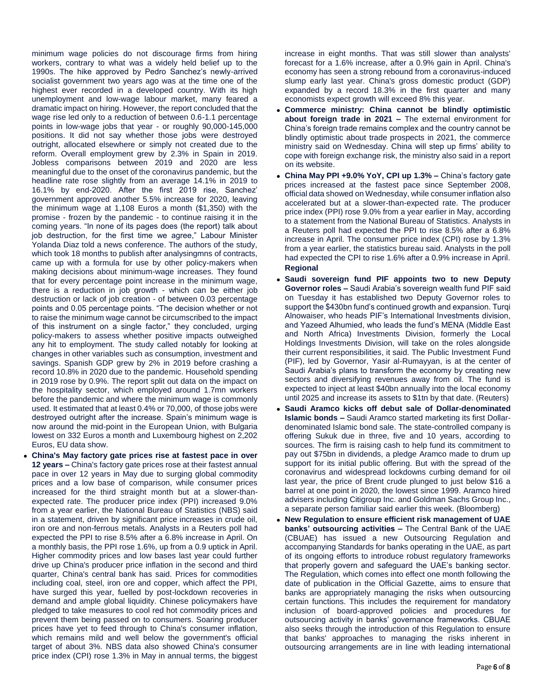minimum wage policies do not discourage firms from hiring workers, contrary to what was a widely held belief up to the 1990s. The hike approved by Pedro Sanchez's newly-arrived socialist government two years ago was at the time one of the highest ever recorded in a developed country. With its high unemployment and low-wage labour market, many feared a dramatic impact on hiring. However, the report concluded that the wage rise led only to a reduction of between 0.6-1.1 percentage points in low-wage jobs that year - or roughly 90,000-145,000 positions. It did not say whether those jobs were destroyed outright, allocated elsewhere or simply not created due to the reform. Overall employment grew by 2.3% in Spain in 2019. Jobless comparisons between 2019 and 2020 are less meaningful due to the onset of the coronavirus pandemic, but the headline rate rose slightly from an average 14.1% in 2019 to 16.1% by end-2020. After the first 2019 rise, Sanchez' government approved another 5.5% increase for 2020, leaving the minimum wage at 1,108 Euros a month (\$1,350) with the promise - frozen by the pandemic - to continue raising it in the coming years. "In none of its pages does (the report) talk about job destruction, for the first time we agree," Labour Minister Yolanda Diaz told a news conference. The authors of the study, which took 18 months to publish after analysingmns of contracts, came up with a formula for use by other policy-makers when making decisions about minimum-wage increases. They found that for every percentage point increase in the minimum wage, there is a reduction in job growth - which can be either job destruction or lack of job creation - of between 0.03 percentage points and 0.05 percentage points. "The decision whether or not to raise the minimum wage cannot be circumscribed to the impact of this instrument on a single factor," they concluded, urging policy-makers to assess whether positive impacts outweighed any hit to employment. The study called notably for looking at changes in other variables such as consumption, investment and savings. Spanish GDP grew by 2% in 2019 before crashing a record 10.8% in 2020 due to the pandemic. Household spending in 2019 rose by 0.9%. The report split out data on the impact on the hospitality sector, which employed around 1.7mn workers before the pandemic and where the minimum wage is commonly used. It estimated that at least 0.4% or 70,000, of those jobs were destroyed outright after the increase. Spain's minimum wage is now around the mid-point in the European Union, with Bulgaria lowest on 332 Euros a month and Luxembourg highest on 2,202 Euros, EU data show.

 **China's May factory gate prices rise at fastest pace in over 12 years –** China's factory gate prices rose at their fastest annual pace in over 12 years in May due to surging global commodity prices and a low base of comparison, while consumer prices increased for the third straight month but at a slower-thanexpected rate. The producer price index (PPI) increased 9.0% from a year earlier, the National Bureau of Statistics (NBS) said in a statement, driven by significant price increases in crude oil, iron ore and non-ferrous metals. Analysts in a Reuters poll had expected the PPI to rise 8.5% after a 6.8% increase in April. On a monthly basis, the PPI rose 1.6%, up from a 0.9 uptick in April. Higher commodity prices and low bases last year could further drive up China's producer price inflation in the second and third quarter, China's central bank has said. Prices for commodities including coal, steel, iron ore and copper, which affect the PPI, have surged this year, fuelled by post-lockdown recoveries in demand and ample global liquidity. Chinese policymakers have pledged to take measures to cool red hot commodity prices and prevent them being passed on to consumers. Soaring producer prices have yet to feed through to China's consumer inflation, which remains mild and well below the government's official target of about 3%. NBS data also showed China's consumer price index (CPI) rose 1.3% in May in annual terms, the biggest

increase in eight months. That was still slower than analysts' forecast for a 1.6% increase, after a 0.9% gain in April. China's economy has seen a strong rebound from a coronavirus-induced slump early last year. China's gross domestic product (GDP) expanded by a record 18.3% in the first quarter and many economists expect growth will exceed 8% this year.

- **Commerce ministry: China cannot be blindly optimistic about foreign trade in 2021 –** The external environment for China's foreign trade remains complex and the country cannot be blindly optimistic about trade prospects in 2021, the commerce ministry said on Wednesday. China will step up firms' ability to cope with foreign exchange risk, the ministry also said in a report on its website.
- **China May PPI +9.0% YoY, CPI up 1.3% –** China's factory gate prices increased at the fastest pace since September 2008, official data showed on Wednesday, while consumer inflation also accelerated but at a slower-than-expected rate. The producer price index (PPI) rose 9.0% from a year earlier in May, according to a statement from the National Bureau of Statistics. Analysts in a Reuters poll had expected the PPI to rise 8.5% after a 6.8% increase in April. The consumer price index (CPI) rose by 1.3% from a year earlier, the statistics bureau said. Analysts in the poll had expected the CPI to rise 1.6% after a 0.9% increase in April. **Regional**
- **Saudi sovereign fund PIF appoints two to new Deputy Governor roles –** Saudi Arabia's sovereign wealth fund PIF said on Tuesday it has established two Deputy Governor roles to support the \$430bn fund's continued growth and expansion. Turqi Alnowaiser, who heads PIF's International Investments division, and Yazeed Alhumied, who leads the fund's MENA (Middle East and North Africa) Investments Division, formerly the Local Holdings Investments Division, will take on the roles alongside their current responsibilities, it said. The Public Investment Fund (PIF), led by Governor, Yasir al-Rumayyan, is at the center of Saudi Arabia's plans to transform the economy by creating new sectors and diversifying revenues away from oil. The fund is expected to inject at least \$40bn annually into the local economy until 2025 and increase its assets to \$1tn by that date. (Reuters)
- **Saudi Aramco kicks off debut sale of Dollar-denominated Islamic bonds –** Saudi Aramco started marketing its first Dollardenominated Islamic bond sale. The state-controlled company is offering Sukuk due in three, five and 10 years, according to sources. The firm is raising cash to help fund its commitment to pay out \$75bn in dividends, a pledge Aramco made to drum up support for its initial public offering. But with the spread of the coronavirus and widespread lockdowns curbing demand for oil last year, the price of Brent crude plunged to just below \$16 a barrel at one point in 2020, the lowest since 1999. Aramco hired advisers including Citigroup Inc. and Goldman Sachs Group Inc., a separate person familiar said earlier this week. (Bloomberg)
- **New Regulation to ensure efficient risk management of UAE banks' outsourcing activities –** The Central Bank of the UAE (CBUAE) has issued a new Outsourcing Regulation and accompanying Standards for banks operating in the UAE, as part of its ongoing efforts to introduce robust regulatory frameworks that properly govern and safeguard the UAE's banking sector. The Regulation, which comes into effect one month following the date of publication in the Official Gazette, aims to ensure that banks are appropriately managing the risks when outsourcing certain functions. This includes the requirement for mandatory inclusion of board-approved policies and procedures for outsourcing activity in banks' governance frameworks. CBUAE also seeks through the introduction of this Regulation to ensure that banks' approaches to managing the risks inherent in outsourcing arrangements are in line with leading international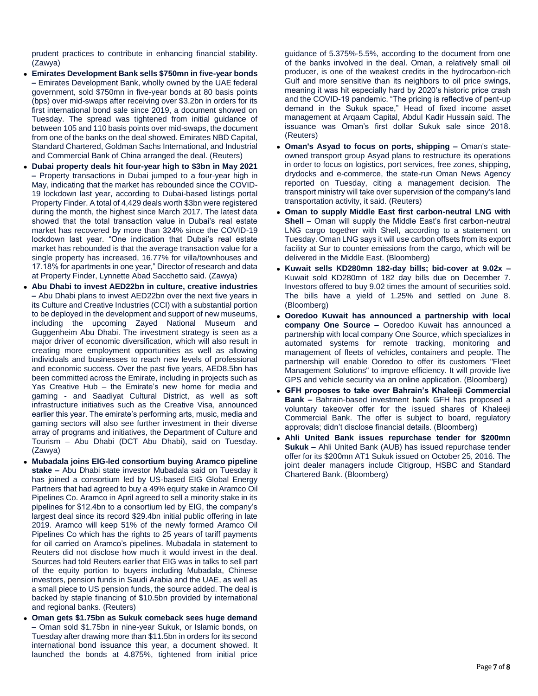prudent practices to contribute in enhancing financial stability. (Zawya)

- **Emirates Development Bank sells \$750mn in five-year bonds –** Emirates Development Bank, wholly owned by the UAE federal government, sold \$750mn in five-year bonds at 80 basis points (bps) over mid-swaps after receiving over \$3.2bn in orders for its first international bond sale since 2019, a document showed on Tuesday. The spread was tightened from initial guidance of between 105 and 110 basis points over mid-swaps, the document from one of the banks on the deal showed. Emirates NBD Capital, Standard Chartered, Goldman Sachs International, and Industrial and Commercial Bank of China arranged the deal. (Reuters)
- **Dubai property deals hit four-year high to \$3bn in May 2021 –** Property transactions in Dubai jumped to a four-year high in May, indicating that the market has rebounded since the COVID-19 lockdown last year, according to Dubai-based listings portal Property Finder. A total of 4,429 deals worth \$3bn were registered during the month, the highest since March 2017. The latest data showed that the total transaction value in Dubai's real estate market has recovered by more than 324% since the COVID-19 lockdown last year. "One indication that Dubai's real estate market has rebounded is that the average transaction value for a single property has increased, 16.77% for villa/townhouses and 17.18% for apartments in one year," Director of research and data at Property Finder, Lynnette Abad Sacchetto said. (Zawya)
- **Abu Dhabi to invest AED22bn in culture, creative industries –** Abu Dhabi plans to invest AED22bn over the next five years in its Culture and Creative Industries (CCI) with a substantial portion to be deployed in the development and support of new museums, including the upcoming Zayed National Museum and Guggenheim Abu Dhabi. The investment strategy is seen as a major driver of economic diversification, which will also result in creating more employment opportunities as well as allowing individuals and businesses to reach new levels of professional and economic success. Over the past five years, AED8.5bn has been committed across the Emirate, including in projects such as Yas Creative Hub – the Emirate's new home for media and gaming - and Saadiyat Cultural District, as well as soft infrastructure initiatives such as the Creative Visa, announced earlier this year. The emirate's performing arts, music, media and gaming sectors will also see further investment in their diverse array of programs and initiatives, the Department of Culture and Tourism – Abu Dhabi (DCT Abu Dhabi), said on Tuesday. (Zawya)
- **Mubadala joins EIG-led consortium buying Aramco pipeline stake –** Abu Dhabi state investor Mubadala said on Tuesday it has joined a consortium led by US-based EIG Global Energy Partners that had agreed to buy a 49% equity stake in Aramco Oil Pipelines Co. Aramco in April agreed to sell a minority stake in its pipelines for \$12.4bn to a consortium led by EIG, the company's largest deal since its record \$29.4bn initial public offering in late 2019. Aramco will keep 51% of the newly formed Aramco Oil Pipelines Co which has the rights to 25 years of tariff payments for oil carried on Aramco's pipelines. Mubadala in statement to Reuters did not disclose how much it would invest in the deal. Sources had told Reuters earlier that EIG was in talks to sell part of the equity portion to buyers including Mubadala, Chinese investors, pension funds in Saudi Arabia and the UAE, as well as a small piece to US pension funds, the source added. The deal is backed by staple financing of \$10.5bn provided by international and regional banks. (Reuters)
- **Oman gets \$1.75bn as Sukuk comeback sees huge demand –** Oman sold \$1.75bn in nine-year Sukuk, or Islamic bonds, on Tuesday after drawing more than \$11.5bn in orders for its second international bond issuance this year, a document showed. It launched the bonds at 4.875%, tightened from initial price

guidance of 5.375%-5.5%, according to the document from one of the banks involved in the deal. Oman, a relatively small oil producer, is one of the weakest credits in the hydrocarbon-rich Gulf and more sensitive than its neighbors to oil price swings, meaning it was hit especially hard by 2020's historic price crash and the COVID-19 pandemic. "The pricing is reflective of pent-up demand in the Sukuk space," Head of fixed income asset management at Arqaam Capital, Abdul Kadir Hussain said. The issuance was Oman's first dollar Sukuk sale since 2018. (Reuters)

- **Oman's Asyad to focus on ports, shipping –** Oman's stateowned transport group Asyad plans to restructure its operations in order to focus on logistics, port services, free zones, shipping, drydocks and e-commerce, the state-run Oman News Agency reported on Tuesday, citing a management decision. The transport ministry will take over supervision of the company's land transportation activity, it said. (Reuters)
- **Oman to supply Middle East first carbon-neutral LNG with Shell –** Oman will supply the Middle East's first carbon-neutral LNG cargo together with Shell, according to a statement on Tuesday. Oman LNG says it will use carbon offsets from its export facility at Sur to counter emissions from the cargo, which will be delivered in the Middle East. (Bloomberg)
- **Kuwait sells KD280mn 182-day bills; bid-cover at 9.02x –** Kuwait sold KD280mn of 182 day bills due on December 7. Investors offered to buy 9.02 times the amount of securities sold. The bills have a yield of 1.25% and settled on June 8. (Bloomberg)
- **Ooredoo Kuwait has announced a partnership with local company One Source –** Ooredoo Kuwait has announced a partnership with local company One Source, which specializes in automated systems for remote tracking, monitoring and management of fleets of vehicles, containers and people. The partnership will enable Ooredoo to offer its customers "Fleet Management Solutions" to improve efficiency. It will provide live GPS and vehicle security via an online application. (Bloomberg)
- **GFH proposes to take over Bahrain's Khaleeji Commercial Bank –** Bahrain-based investment bank GFH has proposed a voluntary takeover offer for the issued shares of Khaleeji Commercial Bank. The offer is subject to board, regulatory approvals; didn't disclose financial details. (Bloomberg)
- **Ahli United Bank issues repurchase tender for \$200mn Sukuk –** Ahli United Bank (AUB) has issued repurchase tender offer for its \$200mn AT1 Sukuk issued on October 25, 2016. The joint dealer managers include Citigroup, HSBC and Standard Chartered Bank. (Bloomberg)